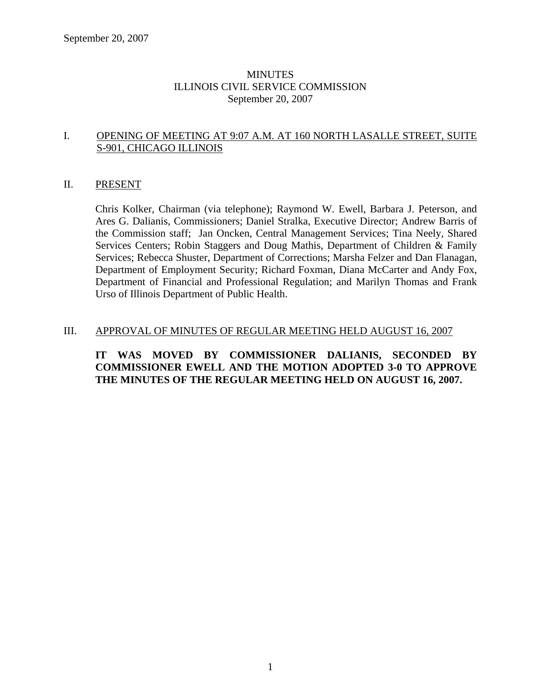### MINUTES ILLINOIS CIVIL SERVICE COMMISSION September 20, 2007

### I. OPENING OF MEETING AT 9:07 A.M. AT 160 NORTH LASALLE STREET, SUITE S-901, CHICAGO ILLINOIS

#### II. PRESENT

Chris Kolker, Chairman (via telephone); Raymond W. Ewell, Barbara J. Peterson, and Ares G. Dalianis, Commissioners; Daniel Stralka, Executive Director; Andrew Barris of the Commission staff; Jan Oncken, Central Management Services; Tina Neely, Shared Services Centers; Robin Staggers and Doug Mathis, Department of Children & Family Services; Rebecca Shuster, Department of Corrections; Marsha Felzer and Dan Flanagan, Department of Employment Security; Richard Foxman, Diana McCarter and Andy Fox, Department of Financial and Professional Regulation; and Marilyn Thomas and Frank Urso of Illinois Department of Public Health.

### III. APPROVAL OF MINUTES OF REGULAR MEETING HELD AUGUST 16, 2007

### **IT WAS MOVED BY COMMISSIONER DALIANIS, SECONDED BY COMMISSIONER EWELL AND THE MOTION ADOPTED 3-0 TO APPROVE THE MINUTES OF THE REGULAR MEETING HELD ON AUGUST 16, 2007.**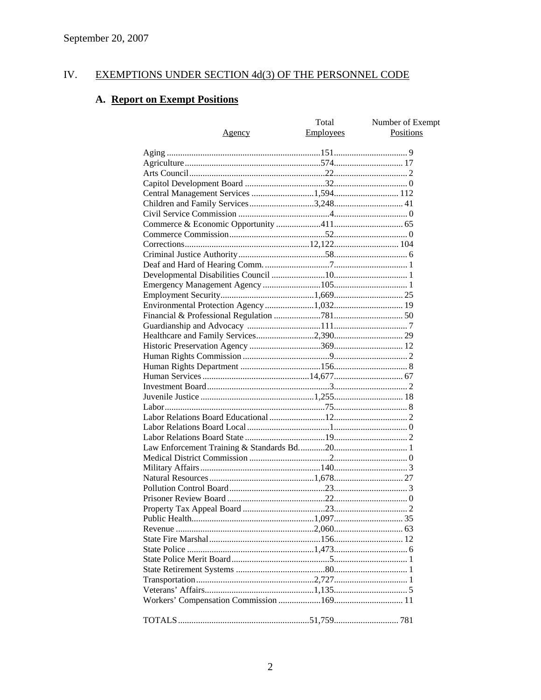#### IV. **EXEMPTIONS UNDER SECTION 4d(3) OF THE PERSONNEL CODE**

# A. Report on Exempt Positions

|                                          | Total     | Number of Exempt |
|------------------------------------------|-----------|------------------|
| <u>Agency</u>                            | Employees | Positions        |
|                                          |           |                  |
|                                          |           |                  |
|                                          |           |                  |
|                                          |           |                  |
|                                          |           |                  |
| Central Management Services 1,594 112    |           |                  |
|                                          |           |                  |
|                                          |           |                  |
|                                          |           |                  |
|                                          |           |                  |
|                                          |           |                  |
|                                          |           |                  |
|                                          |           |                  |
|                                          |           |                  |
|                                          |           |                  |
|                                          |           |                  |
| Environmental Protection Agency 1,032 19 |           |                  |
|                                          |           |                  |
|                                          |           |                  |
|                                          |           |                  |
|                                          |           |                  |
|                                          |           |                  |
|                                          |           |                  |
|                                          |           |                  |
|                                          |           |                  |
|                                          |           |                  |
|                                          |           |                  |
|                                          |           |                  |
|                                          |           |                  |
|                                          |           |                  |
|                                          |           |                  |
|                                          |           |                  |
|                                          |           |                  |
|                                          |           |                  |
|                                          |           |                  |
|                                          |           |                  |
|                                          |           |                  |
|                                          |           |                  |
|                                          |           |                  |
|                                          |           |                  |
|                                          |           |                  |
|                                          |           |                  |
|                                          |           |                  |
|                                          |           |                  |
|                                          |           |                  |
|                                          |           |                  |
|                                          |           |                  |
|                                          |           |                  |
|                                          |           |                  |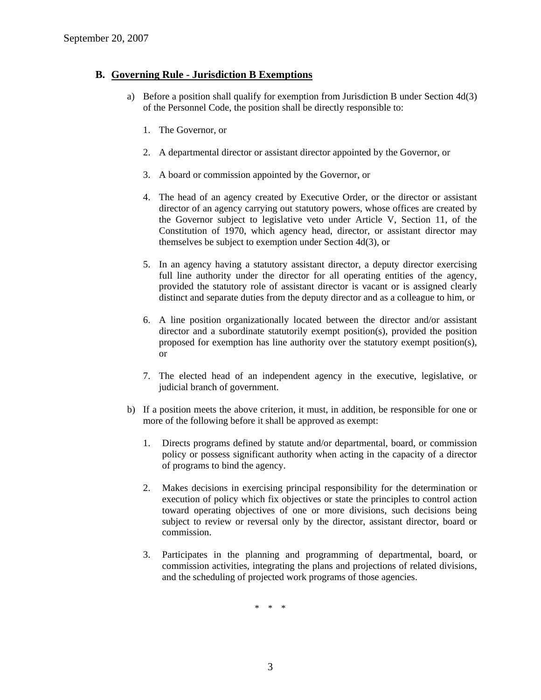### **B. Governing Rule - Jurisdiction B Exemptions**

- a) Before a position shall qualify for exemption from Jurisdiction B under Section 4d(3) of the Personnel Code, the position shall be directly responsible to:
	- 1. The Governor, or
	- 2. A departmental director or assistant director appointed by the Governor, or
	- 3. A board or commission appointed by the Governor, or
	- 4. The head of an agency created by Executive Order, or the director or assistant director of an agency carrying out statutory powers, whose offices are created by the Governor subject to legislative veto under Article V, Section 11, of the Constitution of 1970, which agency head, director, or assistant director may themselves be subject to exemption under Section 4d(3), or
	- 5. In an agency having a statutory assistant director, a deputy director exercising full line authority under the director for all operating entities of the agency, provided the statutory role of assistant director is vacant or is assigned clearly distinct and separate duties from the deputy director and as a colleague to him, or
	- 6. A line position organizationally located between the director and/or assistant director and a subordinate statutorily exempt position(s), provided the position proposed for exemption has line authority over the statutory exempt position(s), or
	- 7. The elected head of an independent agency in the executive, legislative, or judicial branch of government.
- b) If a position meets the above criterion, it must, in addition, be responsible for one or more of the following before it shall be approved as exempt:
	- 1. Directs programs defined by statute and/or departmental, board, or commission policy or possess significant authority when acting in the capacity of a director of programs to bind the agency.
	- 2. Makes decisions in exercising principal responsibility for the determination or execution of policy which fix objectives or state the principles to control action toward operating objectives of one or more divisions, such decisions being subject to review or reversal only by the director, assistant director, board or commission.
	- 3. Participates in the planning and programming of departmental, board, or commission activities, integrating the plans and projections of related divisions, and the scheduling of projected work programs of those agencies.

\* \* \*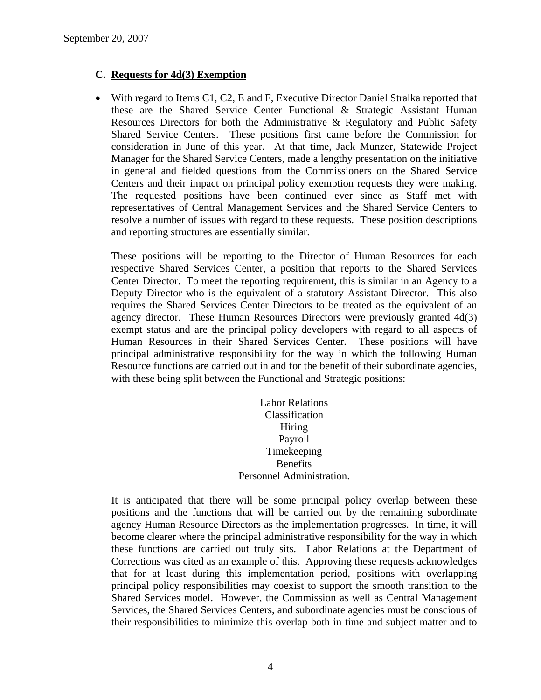### **C. Requests for 4d(3) Exemption**

• With regard to Items C1, C2, E and F, Executive Director Daniel Stralka reported that these are the Shared Service Center Functional & Strategic Assistant Human Resources Directors for both the Administrative & Regulatory and Public Safety Shared Service Centers. These positions first came before the Commission for consideration in June of this year. At that time, Jack Munzer, Statewide Project Manager for the Shared Service Centers, made a lengthy presentation on the initiative in general and fielded questions from the Commissioners on the Shared Service Centers and their impact on principal policy exemption requests they were making. The requested positions have been continued ever since as Staff met with representatives of Central Management Services and the Shared Service Centers to resolve a number of issues with regard to these requests. These position descriptions and reporting structures are essentially similar.

These positions will be reporting to the Director of Human Resources for each respective Shared Services Center, a position that reports to the Shared Services Center Director. To meet the reporting requirement, this is similar in an Agency to a Deputy Director who is the equivalent of a statutory Assistant Director. This also requires the Shared Services Center Directors to be treated as the equivalent of an agency director. These Human Resources Directors were previously granted 4d(3) exempt status and are the principal policy developers with regard to all aspects of Human Resources in their Shared Services Center. These positions will have principal administrative responsibility for the way in which the following Human Resource functions are carried out in and for the benefit of their subordinate agencies, with these being split between the Functional and Strategic positions:

> Labor Relations Classification Hiring Payroll Timekeeping **Benefits** Personnel Administration.

It is anticipated that there will be some principal policy overlap between these positions and the functions that will be carried out by the remaining subordinate agency Human Resource Directors as the implementation progresses. In time, it will become clearer where the principal administrative responsibility for the way in which these functions are carried out truly sits. Labor Relations at the Department of Corrections was cited as an example of this. Approving these requests acknowledges that for at least during this implementation period, positions with overlapping principal policy responsibilities may coexist to support the smooth transition to the Shared Services model. However, the Commission as well as Central Management Services, the Shared Services Centers, and subordinate agencies must be conscious of their responsibilities to minimize this overlap both in time and subject matter and to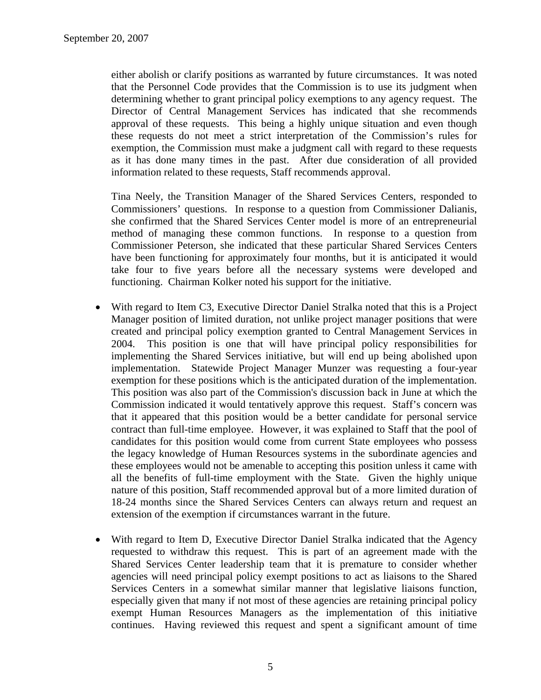either abolish or clarify positions as warranted by future circumstances. It was noted that the Personnel Code provides that the Commission is to use its judgment when determining whether to grant principal policy exemptions to any agency request. The Director of Central Management Services has indicated that she recommends approval of these requests. This being a highly unique situation and even though these requests do not meet a strict interpretation of the Commission's rules for exemption, the Commission must make a judgment call with regard to these requests as it has done many times in the past. After due consideration of all provided information related to these requests, Staff recommends approval.

Tina Neely, the Transition Manager of the Shared Services Centers, responded to Commissioners' questions. In response to a question from Commissioner Dalianis, she confirmed that the Shared Services Center model is more of an entrepreneurial method of managing these common functions. In response to a question from Commissioner Peterson, she indicated that these particular Shared Services Centers have been functioning for approximately four months, but it is anticipated it would take four to five years before all the necessary systems were developed and functioning. Chairman Kolker noted his support for the initiative.

- With regard to Item C3, Executive Director Daniel Stralka noted that this is a Project Manager position of limited duration, not unlike project manager positions that were created and principal policy exemption granted to Central Management Services in 2004. This position is one that will have principal policy responsibilities for implementing the Shared Services initiative, but will end up being abolished upon implementation. Statewide Project Manager Munzer was requesting a four-year exemption for these positions which is the anticipated duration of the implementation. This position was also part of the Commission's discussion back in June at which the Commission indicated it would tentatively approve this request. Staff's concern was that it appeared that this position would be a better candidate for personal service contract than full-time employee. However, it was explained to Staff that the pool of candidates for this position would come from current State employees who possess the legacy knowledge of Human Resources systems in the subordinate agencies and these employees would not be amenable to accepting this position unless it came with all the benefits of full-time employment with the State. Given the highly unique nature of this position, Staff recommended approval but of a more limited duration of 18-24 months since the Shared Services Centers can always return and request an extension of the exemption if circumstances warrant in the future.
- With regard to Item D, Executive Director Daniel Stralka indicated that the Agency requested to withdraw this request. This is part of an agreement made with the Shared Services Center leadership team that it is premature to consider whether agencies will need principal policy exempt positions to act as liaisons to the Shared Services Centers in a somewhat similar manner that legislative liaisons function, especially given that many if not most of these agencies are retaining principal policy exempt Human Resources Managers as the implementation of this initiative continues. Having reviewed this request and spent a significant amount of time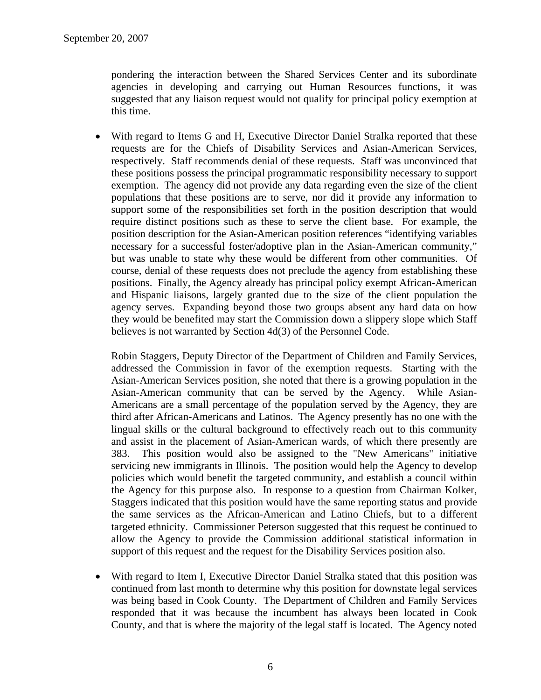pondering the interaction between the Shared Services Center and its subordinate agencies in developing and carrying out Human Resources functions, it was suggested that any liaison request would not qualify for principal policy exemption at this time.

• With regard to Items G and H, Executive Director Daniel Stralka reported that these requests are for the Chiefs of Disability Services and Asian-American Services, respectively. Staff recommends denial of these requests. Staff was unconvinced that these positions possess the principal programmatic responsibility necessary to support exemption. The agency did not provide any data regarding even the size of the client populations that these positions are to serve, nor did it provide any information to support some of the responsibilities set forth in the position description that would require distinct positions such as these to serve the client base. For example, the position description for the Asian-American position references "identifying variables necessary for a successful foster/adoptive plan in the Asian-American community," but was unable to state why these would be different from other communities. Of course, denial of these requests does not preclude the agency from establishing these positions. Finally, the Agency already has principal policy exempt African-American and Hispanic liaisons, largely granted due to the size of the client population the agency serves. Expanding beyond those two groups absent any hard data on how they would be benefited may start the Commission down a slippery slope which Staff believes is not warranted by Section 4d(3) of the Personnel Code.

Robin Staggers, Deputy Director of the Department of Children and Family Services, addressed the Commission in favor of the exemption requests. Starting with the Asian-American Services position, she noted that there is a growing population in the Asian-American community that can be served by the Agency. While Asian-Americans are a small percentage of the population served by the Agency, they are third after African-Americans and Latinos. The Agency presently has no one with the lingual skills or the cultural background to effectively reach out to this community and assist in the placement of Asian-American wards, of which there presently are 383. This position would also be assigned to the "New Americans" initiative servicing new immigrants in Illinois. The position would help the Agency to develop policies which would benefit the targeted community, and establish a council within the Agency for this purpose also. In response to a question from Chairman Kolker, Staggers indicated that this position would have the same reporting status and provide the same services as the African-American and Latino Chiefs, but to a different targeted ethnicity. Commissioner Peterson suggested that this request be continued to allow the Agency to provide the Commission additional statistical information in support of this request and the request for the Disability Services position also.

• With regard to Item I, Executive Director Daniel Stralka stated that this position was continued from last month to determine why this position for downstate legal services was being based in Cook County. The Department of Children and Family Services responded that it was because the incumbent has always been located in Cook County, and that is where the majority of the legal staff is located. The Agency noted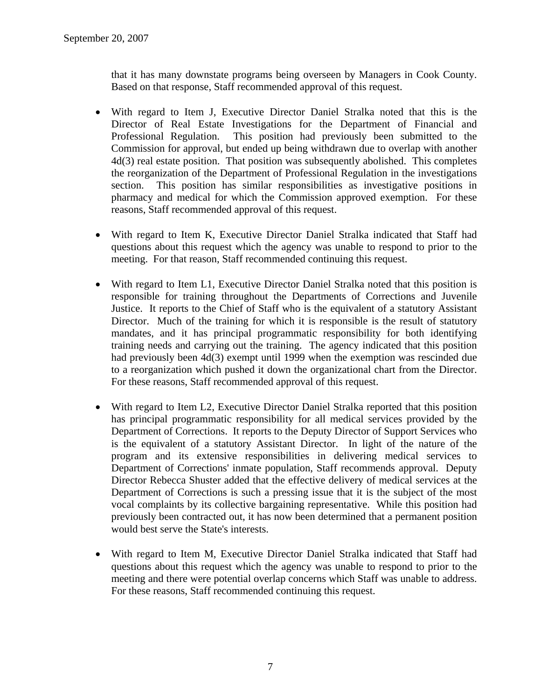that it has many downstate programs being overseen by Managers in Cook County. Based on that response, Staff recommended approval of this request.

- With regard to Item J, Executive Director Daniel Stralka noted that this is the Director of Real Estate Investigations for the Department of Financial and Professional Regulation. This position had previously been submitted to the Commission for approval, but ended up being withdrawn due to overlap with another 4d(3) real estate position. That position was subsequently abolished. This completes the reorganization of the Department of Professional Regulation in the investigations section. This position has similar responsibilities as investigative positions in pharmacy and medical for which the Commission approved exemption. For these reasons, Staff recommended approval of this request.
- With regard to Item K, Executive Director Daniel Stralka indicated that Staff had questions about this request which the agency was unable to respond to prior to the meeting. For that reason, Staff recommended continuing this request.
- With regard to Item L1, Executive Director Daniel Stralka noted that this position is responsible for training throughout the Departments of Corrections and Juvenile Justice. It reports to the Chief of Staff who is the equivalent of a statutory Assistant Director. Much of the training for which it is responsible is the result of statutory mandates, and it has principal programmatic responsibility for both identifying training needs and carrying out the training. The agency indicated that this position had previously been 4d(3) exempt until 1999 when the exemption was rescinded due to a reorganization which pushed it down the organizational chart from the Director. For these reasons, Staff recommended approval of this request.
- With regard to Item L2, Executive Director Daniel Stralka reported that this position has principal programmatic responsibility for all medical services provided by the Department of Corrections. It reports to the Deputy Director of Support Services who is the equivalent of a statutory Assistant Director. In light of the nature of the program and its extensive responsibilities in delivering medical services to Department of Corrections' inmate population, Staff recommends approval. Deputy Director Rebecca Shuster added that the effective delivery of medical services at the Department of Corrections is such a pressing issue that it is the subject of the most vocal complaints by its collective bargaining representative. While this position had previously been contracted out, it has now been determined that a permanent position would best serve the State's interests.
- With regard to Item M, Executive Director Daniel Stralka indicated that Staff had questions about this request which the agency was unable to respond to prior to the meeting and there were potential overlap concerns which Staff was unable to address. For these reasons, Staff recommended continuing this request.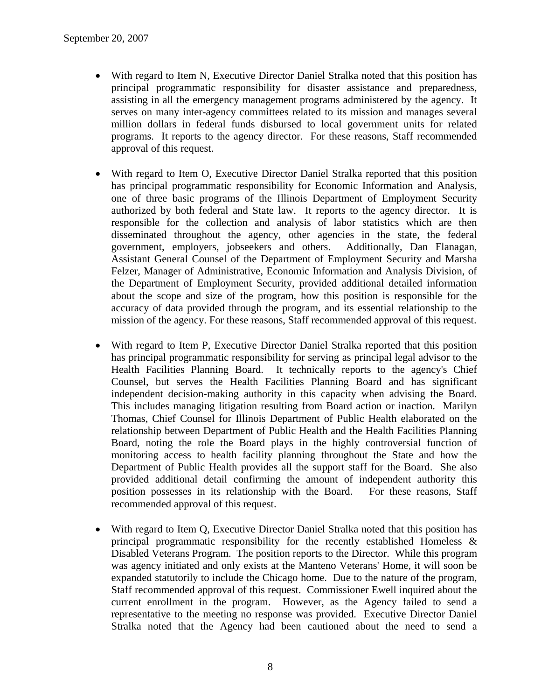- With regard to Item N, Executive Director Daniel Stralka noted that this position has principal programmatic responsibility for disaster assistance and preparedness, assisting in all the emergency management programs administered by the agency. It serves on many inter-agency committees related to its mission and manages several million dollars in federal funds disbursed to local government units for related programs. It reports to the agency director. For these reasons, Staff recommended approval of this request.
- With regard to Item O, Executive Director Daniel Stralka reported that this position has principal programmatic responsibility for Economic Information and Analysis, one of three basic programs of the Illinois Department of Employment Security authorized by both federal and State law. It reports to the agency director. It is responsible for the collection and analysis of labor statistics which are then disseminated throughout the agency, other agencies in the state, the federal government, employers, jobseekers and others. Additionally, Dan Flanagan, Assistant General Counsel of the Department of Employment Security and Marsha Felzer, Manager of Administrative, Economic Information and Analysis Division, of the Department of Employment Security, provided additional detailed information about the scope and size of the program, how this position is responsible for the accuracy of data provided through the program, and its essential relationship to the mission of the agency. For these reasons, Staff recommended approval of this request.
- With regard to Item P, Executive Director Daniel Stralka reported that this position has principal programmatic responsibility for serving as principal legal advisor to the Health Facilities Planning Board. It technically reports to the agency's Chief Counsel, but serves the Health Facilities Planning Board and has significant independent decision-making authority in this capacity when advising the Board. This includes managing litigation resulting from Board action or inaction. Marilyn Thomas, Chief Counsel for Illinois Department of Public Health elaborated on the relationship between Department of Public Health and the Health Facilities Planning Board, noting the role the Board plays in the highly controversial function of monitoring access to health facility planning throughout the State and how the Department of Public Health provides all the support staff for the Board. She also provided additional detail confirming the amount of independent authority this position possesses in its relationship with the Board. For these reasons, Staff recommended approval of this request.
- With regard to Item Q, Executive Director Daniel Stralka noted that this position has principal programmatic responsibility for the recently established Homeless & Disabled Veterans Program. The position reports to the Director. While this program was agency initiated and only exists at the Manteno Veterans' Home, it will soon be expanded statutorily to include the Chicago home. Due to the nature of the program, Staff recommended approval of this request. Commissioner Ewell inquired about the current enrollment in the program. However, as the Agency failed to send a representative to the meeting no response was provided. Executive Director Daniel Stralka noted that the Agency had been cautioned about the need to send a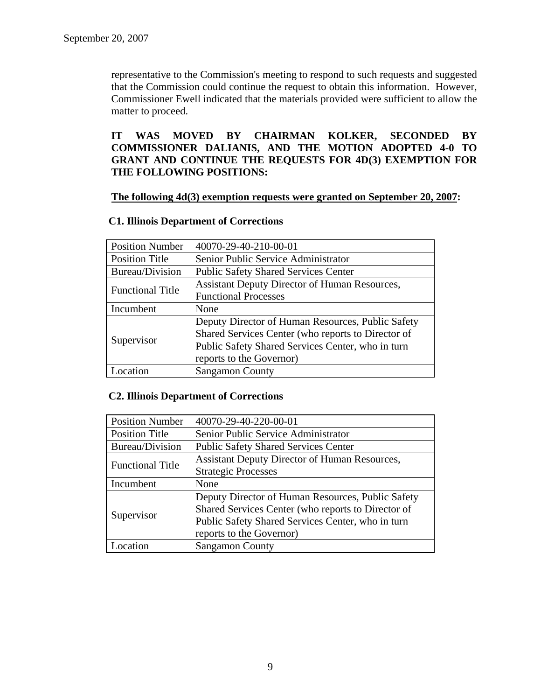representative to the Commission's meeting to respond to such requests and suggested that the Commission could continue the request to obtain this information. However, Commissioner Ewell indicated that the materials provided were sufficient to allow the matter to proceed.

**IT WAS MOVED BY CHAIRMAN KOLKER, SECONDED BY COMMISSIONER DALIANIS, AND THE MOTION ADOPTED 4-0 TO GRANT AND CONTINUE THE REQUESTS FOR 4D(3) EXEMPTION FOR THE FOLLOWING POSITIONS:** 

### **The following 4d(3) exemption requests were granted on September 20, 2007:**

### **C1. Illinois Department of Corrections**

| <b>Position Number</b>  | 40070-29-40-210-00-01                                |
|-------------------------|------------------------------------------------------|
| <b>Position Title</b>   | Senior Public Service Administrator                  |
| Bureau/Division         | <b>Public Safety Shared Services Center</b>          |
| <b>Functional Title</b> | <b>Assistant Deputy Director of Human Resources,</b> |
|                         | <b>Functional Processes</b>                          |
| Incumbent               | None                                                 |
| Supervisor              | Deputy Director of Human Resources, Public Safety    |
|                         | Shared Services Center (who reports to Director of   |
|                         | Public Safety Shared Services Center, who in turn    |
|                         | reports to the Governor)                             |
| <b>Location</b>         | <b>Sangamon County</b>                               |

### **C2. Illinois Department of Corrections**

| <b>Position Number</b>  | 40070-29-40-220-00-01                                |
|-------------------------|------------------------------------------------------|
| <b>Position Title</b>   | Senior Public Service Administrator                  |
| <b>Bureau/Division</b>  | <b>Public Safety Shared Services Center</b>          |
| <b>Functional Title</b> | <b>Assistant Deputy Director of Human Resources,</b> |
|                         | <b>Strategic Processes</b>                           |
| Incumbent               | None                                                 |
| Supervisor              | Deputy Director of Human Resources, Public Safety    |
|                         | Shared Services Center (who reports to Director of   |
|                         | Public Safety Shared Services Center, who in turn    |
|                         | reports to the Governor)                             |
| ocation                 | <b>Sangamon County</b>                               |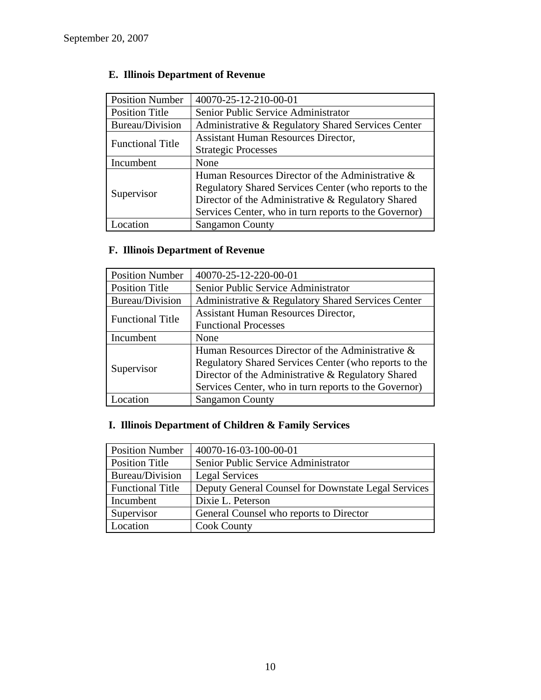| <b>Position Number</b>  | 40070-25-12-210-00-01                                 |
|-------------------------|-------------------------------------------------------|
| <b>Position Title</b>   | Senior Public Service Administrator                   |
| <b>Bureau/Division</b>  | Administrative & Regulatory Shared Services Center    |
| <b>Functional Title</b> | <b>Assistant Human Resources Director,</b>            |
|                         | <b>Strategic Processes</b>                            |
| Incumbent               | None                                                  |
| Supervisor              | Human Resources Director of the Administrative &      |
|                         | Regulatory Shared Services Center (who reports to the |
|                         | Director of the Administrative & Regulatory Shared    |
|                         | Services Center, who in turn reports to the Governor) |
| ocation                 | <b>Sangamon County</b>                                |

# **E. Illinois Department of Revenue**

# **F. Illinois Department of Revenue**

| <b>Position Number</b>  | 40070-25-12-220-00-01                                 |
|-------------------------|-------------------------------------------------------|
| <b>Position Title</b>   | Senior Public Service Administrator                   |
| <b>Bureau/Division</b>  | Administrative & Regulatory Shared Services Center    |
| <b>Functional Title</b> | <b>Assistant Human Resources Director,</b>            |
|                         | <b>Functional Processes</b>                           |
| Incumbent               | None                                                  |
| Supervisor              | Human Resources Director of the Administrative &      |
|                         | Regulatory Shared Services Center (who reports to the |
|                         | Director of the Administrative & Regulatory Shared    |
|                         | Services Center, who in turn reports to the Governor) |
| Location                | <b>Sangamon County</b>                                |

# **I. Illinois Department of Children & Family Services**

| <b>Position Number</b>  | 40070-16-03-100-00-01                               |
|-------------------------|-----------------------------------------------------|
| Position Title          | Senior Public Service Administrator                 |
| Bureau/Division         | <b>Legal Services</b>                               |
| <b>Functional Title</b> | Deputy General Counsel for Downstate Legal Services |
| Incumbent               | Dixie L. Peterson                                   |
| Supervisor              | General Counsel who reports to Director             |
| Location                | <b>Cook County</b>                                  |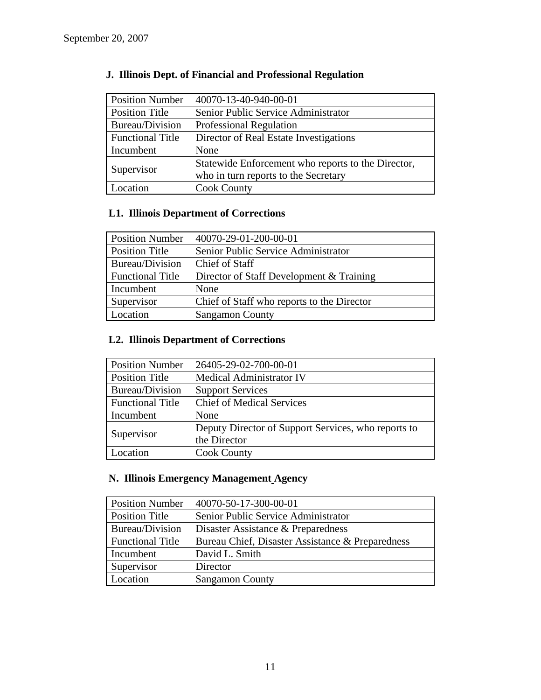| <b>Position Number</b>  | 40070-13-40-940-00-01                                                                      |
|-------------------------|--------------------------------------------------------------------------------------------|
| <b>Position Title</b>   | Senior Public Service Administrator                                                        |
| Bureau/Division         | Professional Regulation                                                                    |
| <b>Functional Title</b> | Director of Real Estate Investigations                                                     |
| Incumbent               | None                                                                                       |
| Supervisor              | Statewide Enforcement who reports to the Director,<br>who in turn reports to the Secretary |
| Location                | <b>Cook County</b>                                                                         |

# **J. Illinois Dept. of Financial and Professional Regulation**

## **L1. Illinois Department of Corrections**

| <b>Position Number</b>  | 40070-29-01-200-00-01                      |
|-------------------------|--------------------------------------------|
| <b>Position Title</b>   | Senior Public Service Administrator        |
| Bureau/Division         | Chief of Staff                             |
| <b>Functional Title</b> | Director of Staff Development & Training   |
| Incumbent               | None                                       |
| Supervisor              | Chief of Staff who reports to the Director |
| Location                | <b>Sangamon County</b>                     |

### **L2. Illinois Department of Corrections**

| <b>Position Number</b>  | 26405-29-02-700-00-01                               |
|-------------------------|-----------------------------------------------------|
| <b>Position Title</b>   | Medical Administrator IV                            |
| Bureau/Division         | <b>Support Services</b>                             |
| <b>Functional Title</b> | <b>Chief of Medical Services</b>                    |
| Incumbent               | None                                                |
| Supervisor              | Deputy Director of Support Services, who reports to |
|                         | the Director                                        |
| Location                | <b>Cook County</b>                                  |

# **N. Illinois Emergency Management Agency**

| <b>Position Number</b>  | 40070-50-17-300-00-01                            |
|-------------------------|--------------------------------------------------|
| <b>Position Title</b>   | Senior Public Service Administrator              |
| <b>Bureau/Division</b>  | Disaster Assistance & Preparedness               |
| <b>Functional Title</b> | Bureau Chief, Disaster Assistance & Preparedness |
| Incumbent               | David L. Smith                                   |
| Supervisor              | Director                                         |
| Location                | <b>Sangamon County</b>                           |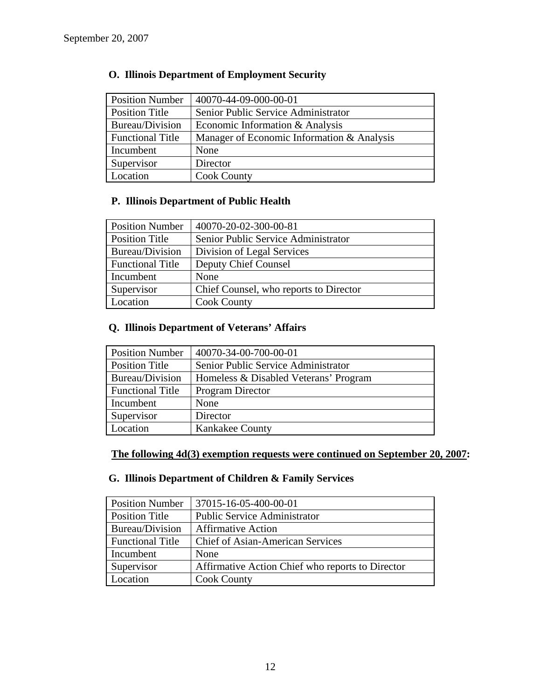| <b>Position Number</b>  | 40070-44-09-000-00-01                      |
|-------------------------|--------------------------------------------|
| <b>Position Title</b>   | Senior Public Service Administrator        |
| Bureau/Division         | Economic Information & Analysis            |
| <b>Functional Title</b> | Manager of Economic Information & Analysis |
| Incumbent               | None                                       |
| Supervisor              | Director                                   |
| Location                | <b>Cook County</b>                         |

### **O. Illinois Department of Employment Security**

### **P. Illinois Department of Public Health**

| <b>Position Number</b>  | 40070-20-02-300-00-81                  |
|-------------------------|----------------------------------------|
| <b>Position Title</b>   | Senior Public Service Administrator    |
| Bureau/Division         | Division of Legal Services             |
| <b>Functional Title</b> | Deputy Chief Counsel                   |
| Incumbent               | None                                   |
| Supervisor              | Chief Counsel, who reports to Director |
| Location                | <b>Cook County</b>                     |

### **Q. Illinois Department of Veterans' Affairs**

| <b>Position Number</b>  | 40070-34-00-700-00-01                 |
|-------------------------|---------------------------------------|
| <b>Position Title</b>   | Senior Public Service Administrator   |
| <b>Bureau/Division</b>  | Homeless & Disabled Veterans' Program |
| <b>Functional Title</b> | Program Director                      |
| Incumbent               | None                                  |
| Supervisor              | Director                              |
| Location                | <b>Kankakee County</b>                |

### **The following 4d(3) exemption requests were continued on September 20, 2007:**

### **G. Illinois Department of Children & Family Services**

| <b>Position Number</b>  | 37015-16-05-400-00-01                            |
|-------------------------|--------------------------------------------------|
| <b>Position Title</b>   | <b>Public Service Administrator</b>              |
| Bureau/Division         | <b>Affirmative Action</b>                        |
| <b>Functional Title</b> | <b>Chief of Asian-American Services</b>          |
| Incumbent               | None                                             |
| Supervisor              | Affirmative Action Chief who reports to Director |
| Location                | <b>Cook County</b>                               |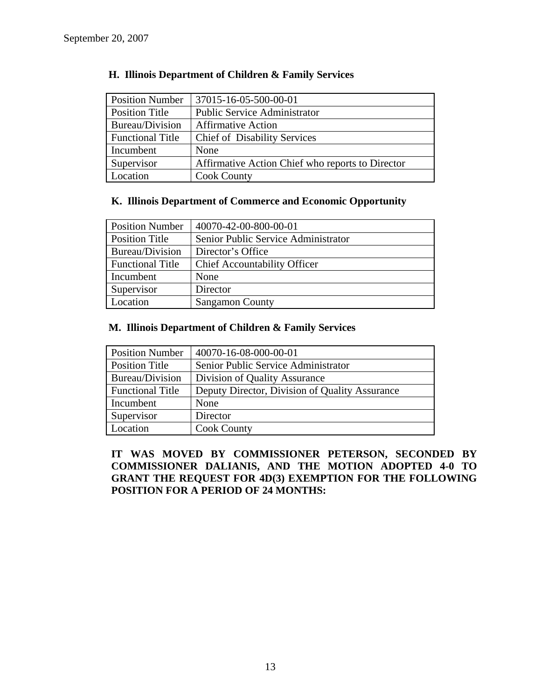| <b>Position Number</b>  | 37015-16-05-500-00-01                            |
|-------------------------|--------------------------------------------------|
| Position Title          | <b>Public Service Administrator</b>              |
| Bureau/Division         | <b>Affirmative Action</b>                        |
| <b>Functional Title</b> | <b>Chief of Disability Services</b>              |
| Incumbent               | None                                             |
| Supervisor              | Affirmative Action Chief who reports to Director |
| Location                | <b>Cook County</b>                               |

### **H. Illinois Department of Children & Family Services**

### **K. Illinois Department of Commerce and Economic Opportunity**

| <b>Position Number</b>  | 40070-42-00-800-00-01               |
|-------------------------|-------------------------------------|
| <b>Position Title</b>   | Senior Public Service Administrator |
| Bureau/Division         | Director's Office                   |
| <b>Functional Title</b> | <b>Chief Accountability Officer</b> |
| Incumbent               | None                                |
| Supervisor              | Director                            |
| Location                | <b>Sangamon County</b>              |

### **M. Illinois Department of Children & Family Services**

| <b>Position Number</b>  | 40070-16-08-000-00-01                          |
|-------------------------|------------------------------------------------|
| <b>Position Title</b>   | Senior Public Service Administrator            |
| Bureau/Division         | Division of Quality Assurance                  |
| <b>Functional Title</b> | Deputy Director, Division of Quality Assurance |
| Incumbent               | None                                           |
| Supervisor              | Director                                       |
| Location                | <b>Cook County</b>                             |

**IT WAS MOVED BY COMMISSIONER PETERSON, SECONDED BY COMMISSIONER DALIANIS, AND THE MOTION ADOPTED 4-0 TO GRANT THE REQUEST FOR 4D(3) EXEMPTION FOR THE FOLLOWING POSITION FOR A PERIOD OF 24 MONTHS:**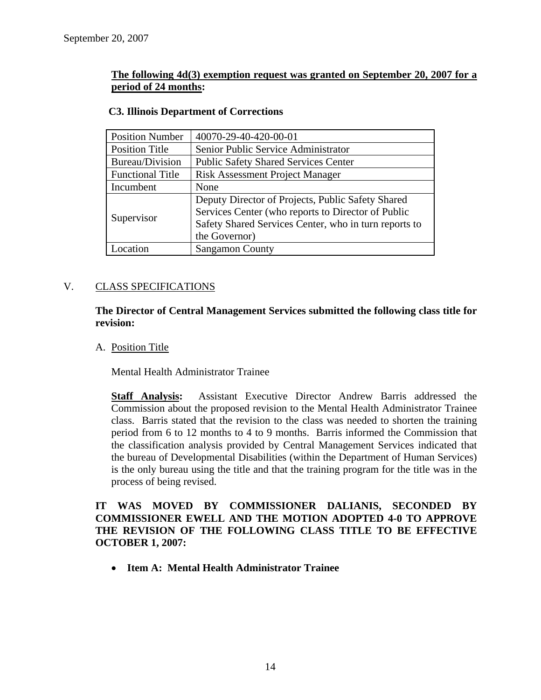### **The following 4d(3) exemption request was granted on September 20, 2007 for a period of 24 months:**

| <b>Position Number</b>  | 40070-29-40-420-00-01                                 |
|-------------------------|-------------------------------------------------------|
| <b>Position Title</b>   | Senior Public Service Administrator                   |
| Bureau/Division         | <b>Public Safety Shared Services Center</b>           |
| <b>Functional Title</b> | <b>Risk Assessment Project Manager</b>                |
| Incumbent               | None                                                  |
|                         | Deputy Director of Projects, Public Safety Shared     |
| Supervisor              | Services Center (who reports to Director of Public    |
|                         | Safety Shared Services Center, who in turn reports to |
|                         | the Governor)                                         |
| <i>c</i> ocation        | <b>Sangamon County</b>                                |

### **C3. Illinois Department of Corrections**

### V. CLASS SPECIFICATIONS

**The Director of Central Management Services submitted the following class title for revision:** 

A. Position Title

Mental Health Administrator Trainee

**Staff Analysis:** Assistant Executive Director Andrew Barris addressed the Commission about the proposed revision to the Mental Health Administrator Trainee class. Barris stated that the revision to the class was needed to shorten the training period from 6 to 12 months to 4 to 9 months. Barris informed the Commission that the classification analysis provided by Central Management Services indicated that the bureau of Developmental Disabilities (within the Department of Human Services) is the only bureau using the title and that the training program for the title was in the process of being revised.

**IT WAS MOVED BY COMMISSIONER DALIANIS, SECONDED BY COMMISSIONER EWELL AND THE MOTION ADOPTED 4-0 TO APPROVE THE REVISION OF THE FOLLOWING CLASS TITLE TO BE EFFECTIVE OCTOBER 1, 2007:** 

• **Item A: Mental Health Administrator Trainee**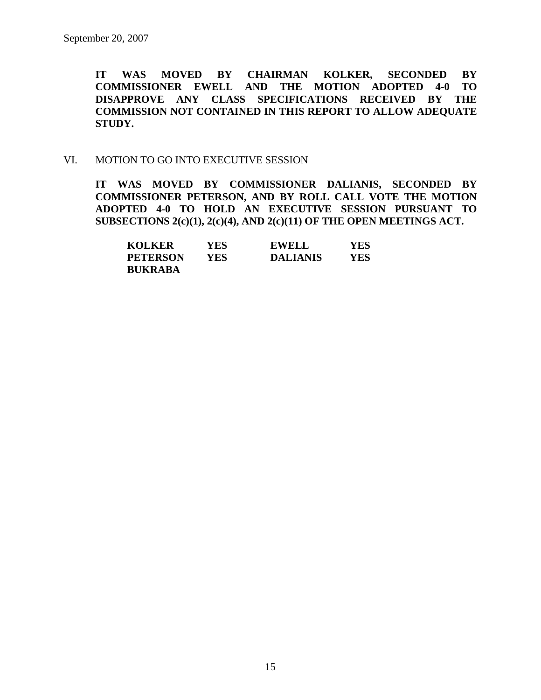**IT WAS MOVED BY CHAIRMAN KOLKER, SECONDED BY COMMISSIONER EWELL AND THE MOTION ADOPTED 4-0 TO DISAPPROVE ANY CLASS SPECIFICATIONS RECEIVED BY THE COMMISSION NOT CONTAINED IN THIS REPORT TO ALLOW ADEQUATE STUDY.** 

### VI. MOTION TO GO INTO EXECUTIVE SESSION

**IT WAS MOVED BY COMMISSIONER DALIANIS, SECONDED BY COMMISSIONER PETERSON, AND BY ROLL CALL VOTE THE MOTION ADOPTED 4-0 TO HOLD AN EXECUTIVE SESSION PURSUANT TO SUBSECTIONS 2(c)(1), 2(c)(4), AND 2(c)(11) OF THE OPEN MEETINGS ACT.** 

| <b>KOLKER</b>   | YES | <b>EWELL</b>    | <b>YES</b> |
|-----------------|-----|-----------------|------------|
| <b>PETERSON</b> | YES | <b>DALIANIS</b> | YES        |
| <b>BUKRABA</b>  |     |                 |            |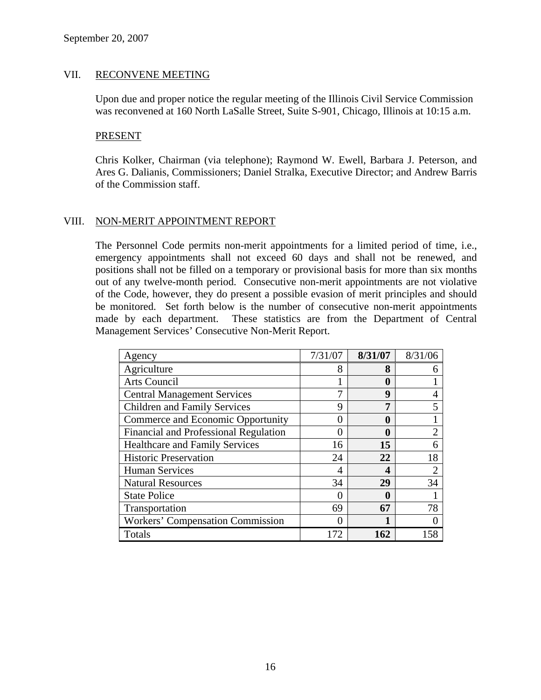### VII. RECONVENE MEETING

Upon due and proper notice the regular meeting of the Illinois Civil Service Commission was reconvened at 160 North LaSalle Street, Suite S-901, Chicago, Illinois at 10:15 a.m.

### PRESENT

Chris Kolker, Chairman (via telephone); Raymond W. Ewell, Barbara J. Peterson, and Ares G. Dalianis, Commissioners; Daniel Stralka, Executive Director; and Andrew Barris of the Commission staff.

### VIII. NON-MERIT APPOINTMENT REPORT

The Personnel Code permits non-merit appointments for a limited period of time, i.e., emergency appointments shall not exceed 60 days and shall not be renewed, and positions shall not be filled on a temporary or provisional basis for more than six months out of any twelve-month period. Consecutive non-merit appointments are not violative of the Code, however, they do present a possible evasion of merit principles and should be monitored. Set forth below is the number of consecutive non-merit appointments made by each department. These statistics are from the Department of Central Management Services' Consecutive Non-Merit Report.

| Agency                                  | 7/31/07 | 8/31/07 | 8/31/06        |
|-----------------------------------------|---------|---------|----------------|
| Agriculture                             | 8       | 8       | 6              |
| Arts Council                            |         | 0       |                |
| <b>Central Management Services</b>      |         | 9       | 4              |
| <b>Children and Family Services</b>     | 9       | 7       | 5              |
| Commerce and Economic Opportunity       |         | 0       |                |
| Financial and Professional Regulation   |         | 0       | $\overline{2}$ |
| <b>Healthcare and Family Services</b>   | 16      | 15      | 6              |
| <b>Historic Preservation</b>            | 24      | 22      | 18             |
| <b>Human Services</b>                   | 4       | 4       | $\overline{2}$ |
| <b>Natural Resources</b>                | 34      | 29      | 34             |
| <b>State Police</b>                     |         | 0       |                |
| Transportation                          | 69      | 67      | 78             |
| <b>Workers' Compensation Commission</b> |         |         |                |
| Totals                                  | 172     | 162     | 58             |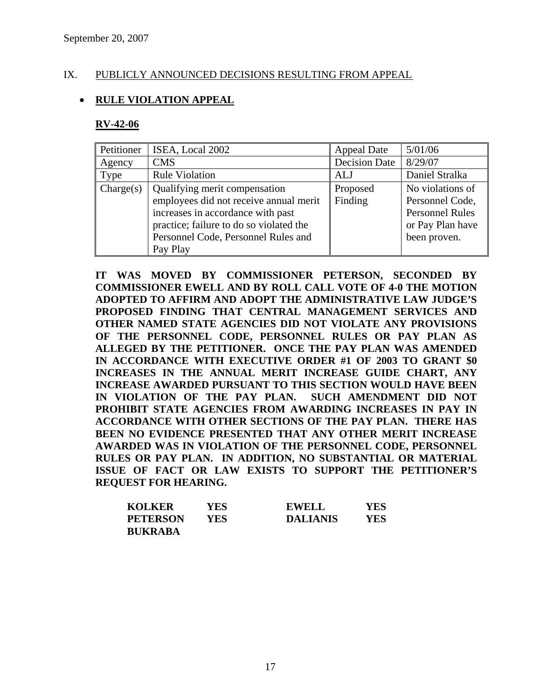### IX. PUBLICLY ANNOUNCED DECISIONS RESULTING FROM APPEAL

### • **RULE VIOLATION APPEAL**

#### **RV-42-06**

| Petitioner | ISEA, Local 2002                                                                                                                                                                                           | <b>Appeal Date</b>   | 5/01/06                                                                                           |
|------------|------------------------------------------------------------------------------------------------------------------------------------------------------------------------------------------------------------|----------------------|---------------------------------------------------------------------------------------------------|
| Agency     | <b>CMS</b>                                                                                                                                                                                                 | <b>Decision Date</b> | 8/29/07                                                                                           |
| Type       | <b>Rule Violation</b>                                                                                                                                                                                      | ALJ                  | Daniel Stralka                                                                                    |
| Change(s)  | Qualifying merit compensation<br>employees did not receive annual merit<br>increases in accordance with past<br>practice; failure to do so violated the<br>Personnel Code, Personnel Rules and<br>Pay Play | Proposed<br>Finding  | No violations of<br>Personnel Code,<br><b>Personnel Rules</b><br>or Pay Plan have<br>been proven. |

**IT WAS MOVED BY COMMISSIONER PETERSON, SECONDED BY COMMISSIONER EWELL AND BY ROLL CALL VOTE OF 4-0 THE MOTION ADOPTED TO AFFIRM AND ADOPT THE ADMINISTRATIVE LAW JUDGE'S PROPOSED FINDING THAT CENTRAL MANAGEMENT SERVICES AND OTHER NAMED STATE AGENCIES DID NOT VIOLATE ANY PROVISIONS OF THE PERSONNEL CODE, PERSONNEL RULES OR PAY PLAN AS ALLEGED BY THE PETITIONER. ONCE THE PAY PLAN WAS AMENDED IN ACCORDANCE WITH EXECUTIVE ORDER #1 OF 2003 TO GRANT \$0 INCREASES IN THE ANNUAL MERIT INCREASE GUIDE CHART, ANY INCREASE AWARDED PURSUANT TO THIS SECTION WOULD HAVE BEEN IN VIOLATION OF THE PAY PLAN. SUCH AMENDMENT DID NOT PROHIBIT STATE AGENCIES FROM AWARDING INCREASES IN PAY IN ACCORDANCE WITH OTHER SECTIONS OF THE PAY PLAN. THERE HAS BEEN NO EVIDENCE PRESENTED THAT ANY OTHER MERIT INCREASE AWARDED WAS IN VIOLATION OF THE PERSONNEL CODE, PERSONNEL RULES OR PAY PLAN. IN ADDITION, NO SUBSTANTIAL OR MATERIAL ISSUE OF FACT OR LAW EXISTS TO SUPPORT THE PETITIONER'S REQUEST FOR HEARING.** 

| <b>KOLKER</b>   | YES | <b>EWELL</b>    | YES |
|-----------------|-----|-----------------|-----|
| <b>PETERSON</b> | YES | <b>DALIANIS</b> | YES |
| <b>BUKRABA</b>  |     |                 |     |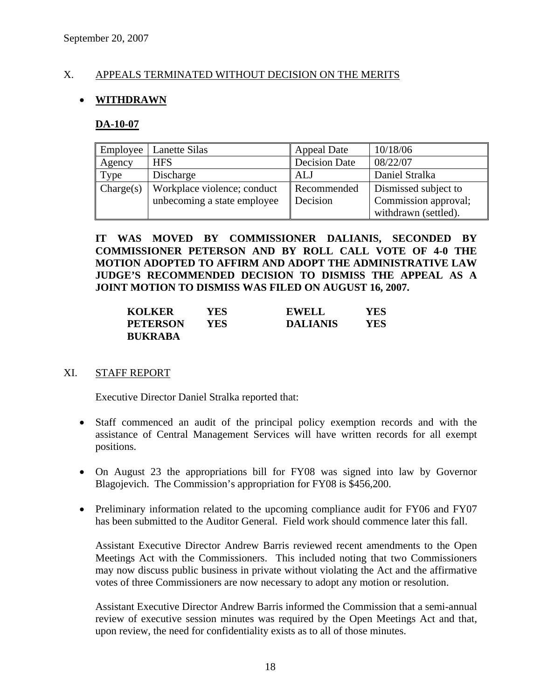### X. APPEALS TERMINATED WITHOUT DECISION ON THE MERITS

### • **WITHDRAWN**

### **DA-10-07**

| Employee  | Lanette Silas               | <b>Appeal Date</b>   | 10/18/06             |
|-----------|-----------------------------|----------------------|----------------------|
| Agency    | <b>HFS</b>                  | <b>Decision Date</b> | 08/22/07             |
| Type      | Discharge                   | ALJ                  | Daniel Stralka       |
| Change(s) | Workplace violence; conduct | Recommended          | Dismissed subject to |
|           | unbecoming a state employee | Decision             | Commission approval; |
|           |                             |                      | withdrawn (settled). |

**IT WAS MOVED BY COMMISSIONER DALIANIS, SECONDED BY COMMISSIONER PETERSON AND BY ROLL CALL VOTE OF 4-0 THE MOTION ADOPTED TO AFFIRM AND ADOPT THE ADMINISTRATIVE LAW JUDGE'S RECOMMENDED DECISION TO DISMISS THE APPEAL AS A JOINT MOTION TO DISMISS WAS FILED ON AUGUST 16, 2007.** 

| <b>KOLKER</b>   | YES | <b>EWELL</b>    | YES |
|-----------------|-----|-----------------|-----|
| <b>PETERSON</b> | YES | <b>DALIANIS</b> | YES |
| <b>BUKRABA</b>  |     |                 |     |

### XI. STAFF REPORT

Executive Director Daniel Stralka reported that:

- Staff commenced an audit of the principal policy exemption records and with the assistance of Central Management Services will have written records for all exempt positions.
- On August 23 the appropriations bill for FY08 was signed into law by Governor Blagojevich. The Commission's appropriation for FY08 is \$456,200.
- Preliminary information related to the upcoming compliance audit for FY06 and FY07 has been submitted to the Auditor General. Field work should commence later this fall.

Assistant Executive Director Andrew Barris reviewed recent amendments to the Open Meetings Act with the Commissioners. This included noting that two Commissioners may now discuss public business in private without violating the Act and the affirmative votes of three Commissioners are now necessary to adopt any motion or resolution.

Assistant Executive Director Andrew Barris informed the Commission that a semi-annual review of executive session minutes was required by the Open Meetings Act and that, upon review, the need for confidentiality exists as to all of those minutes.